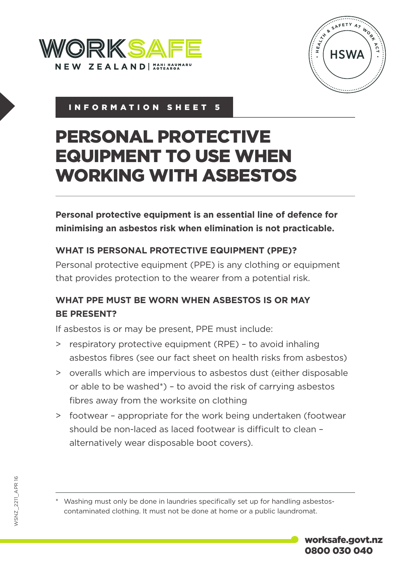



# INFORMATION SHEET 5

# PERSONAL PROTECTIVE EQUIPMENT TO USE WHEN WORKING WITH ASBESTOS

**Personal protective equipment is an essential line of defence for minimising an asbestos risk when elimination is not practicable.**

## **WHAT IS PERSONAL PROTECTIVE EQUIPMENT (PPE)?**

Personal protective equipment (PPE) is any clothing or equipment that provides protection to the wearer from a potential risk.

# **WHAT PPE MUST BE WORN WHEN ASBESTOS IS OR MAY BE PRESENT?**

If asbestos is or may be present, PPE must include:

- > respiratory protective equipment (RPE) to avoid inhaling asbestos fibres (see our fact sheet on health risks from asbestos)
- > overalls which are impervious to asbestos dust (either disposable or able to be washed\*) – to avoid the risk of carrying asbestos fibres away from the worksite on clothing
- > footwear appropriate for the work being undertaken (footwear should be non-laced as laced footwear is difficult to clean – alternatively wear disposable boot covers).

\* Washing must only be done in laundries specifically set up for handling asbestoscontaminated clothing. It must not be done at home or a public laundromat.

worksafe.govt.nz 0800 030 040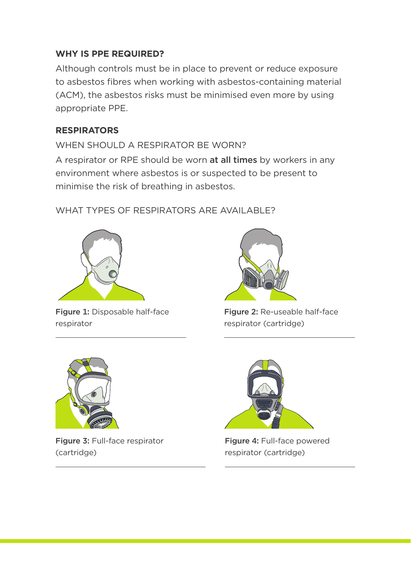#### **WHY IS PPE REQUIRED?**

Although controls must be in place to prevent or reduce exposure to asbestos fibres when working with asbestos-containing material (ACM), the asbestos risks must be minimised even more by using appropriate PPE.

#### **RESPIRATORS**

WHEN SHOULD A RESPIRATOR BE WORN? A respirator or RPE should be worn at all times by workers in any environment where asbestos is or suspected to be present to minimise the risk of breathing in asbestos.

WHAT TYPES OF RESPIRATORS ARE AVAILABLE?



Figure 1: Disposable half-face respirator



Figure 2: Re-useable half-face respirator (cartridge)



Figure 3: Full-face respirator (cartridge)



Figure 4: Full-face powered respirator (cartridge)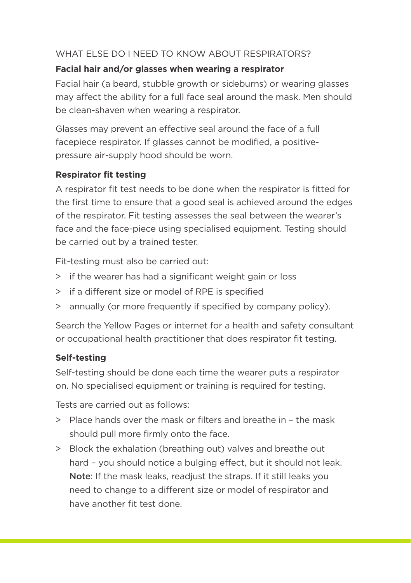#### WHAT ELSE DO I NEED TO KNOW ABOUT RESPIRATORS?

#### **Facial hair and/or glasses when wearing a respirator**

Facial hair (a beard, stubble growth or sideburns) or wearing glasses may affect the ability for a full face seal around the mask. Men should be clean-shaven when wearing a respirator.

Glasses may prevent an effective seal around the face of a full facepiece respirator. If glasses cannot be modified, a positivepressure air-supply hood should be worn.

## **Respirator fit testing**

A respirator fit test needs to be done when the respirator is fitted for the first time to ensure that a good seal is achieved around the edges of the respirator. Fit testing assesses the seal between the wearer's face and the face-piece using specialised equipment. Testing should be carried out by a trained tester.

Fit-testing must also be carried out:

- > if the wearer has had a significant weight gain or loss
- > if a different size or model of RPE is specified
- > annually (or more frequently if specified by company policy).

Search the Yellow Pages or internet for a health and safety consultant or occupational health practitioner that does respirator fit testing.

# **Self-testing**

Self-testing should be done each time the wearer puts a respirator on. No specialised equipment or training is required for testing.

Tests are carried out as follows:

- > Place hands over the mask or filters and breathe in the mask should pull more firmly onto the face.
- > Block the exhalation (breathing out) valves and breathe out hard – you should notice a bulging effect, but it should not leak. Note: If the mask leaks, readjust the straps. If it still leaks you need to change to a different size or model of respirator and have another fit test done.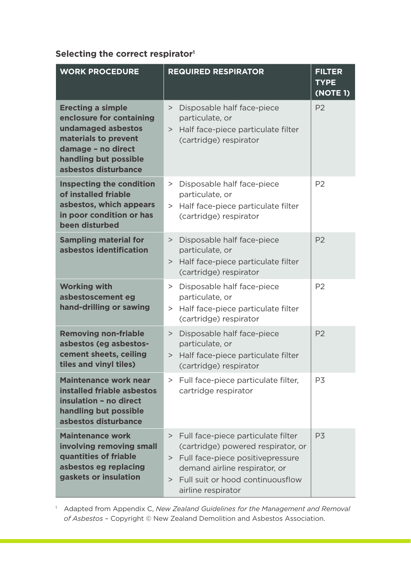#### **Selecting the correct respirator1**

| <b>WORK PROCEDURE</b>                                                                                                                                                     | <b>REQUIRED RESPIRATOR</b>                                                                                                                                                                                          | <b>FILTER</b><br><b>TYPE</b><br>(NOTE 1) |
|---------------------------------------------------------------------------------------------------------------------------------------------------------------------------|---------------------------------------------------------------------------------------------------------------------------------------------------------------------------------------------------------------------|------------------------------------------|
| <b>Erecting a simple</b><br>enclosure for containing<br>undamaged asbestos<br>materials to prevent<br>damage - no direct<br>handling but possible<br>asbestos disturbance | Disposable half face-piece<br>><br>particulate, or<br>Half face-piece particulate filter<br>><br>(cartridge) respirator                                                                                             | P <sub>2</sub>                           |
| Inspecting the condition<br>of installed friable<br>asbestos, which appears<br>in poor condition or has<br>been disturbed                                                 | Disposable half face-piece<br>><br>particulate, or<br>> Half face-piece particulate filter<br>(cartridge) respirator                                                                                                | P <sub>2</sub>                           |
| <b>Sampling material for</b><br>asbestos identification                                                                                                                   | Disposable half face-piece<br>><br>particulate, or<br>> Half face-piece particulate filter<br>(cartridge) respirator                                                                                                | P <sub>2</sub>                           |
| <b>Working with</b><br>asbestoscement eg<br>hand-drilling or sawing                                                                                                       | Disposable half face-piece<br>><br>particulate, or<br>> Half face-piece particulate filter<br>(cartridge) respirator                                                                                                | P <sub>2</sub>                           |
| <b>Removing non-friable</b><br>asbestos (eg asbestos-<br>cement sheets, ceiling<br>tiles and vinyl tiles)                                                                 | Disposable half face-piece<br>><br>particulate, or<br>> Half face-piece particulate filter<br>(cartridge) respirator                                                                                                | P <sub>2</sub>                           |
| <b>Maintenance work near</b><br>installed friable asbestos<br>insulation - no direct<br>handling but possible<br>asbestos disturbance                                     | > Full face-piece particulate filter,<br>cartridge respirator                                                                                                                                                       | P <sub>3</sub>                           |
| <b>Maintenance work</b><br>involving removing small<br>quantities of friable<br>asbestos eg replacing<br>gaskets or insulation                                            | Full face-piece particulate filter<br>><br>(cartridge) powered respirator, or<br>> Full face-piece positivepressure<br>demand airline respirator, or<br>Full suit or hood continuousflow<br>><br>airline respirator | P <sub>3</sub>                           |

<sup>1</sup> Adapted from Appendix C, *New Zealand Guidelines for the Management and Removal of Asbestos* – Copyright © New Zealand Demolition and Asbestos Association.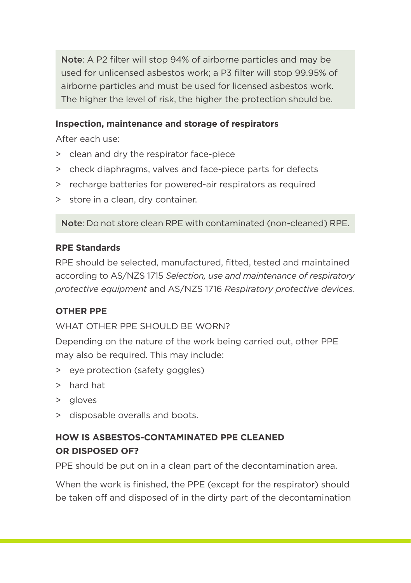Note: A P2 filter will stop 94% of airborne particles and may be used for unlicensed asbestos work; a P3 filter will stop 99.95% of airborne particles and must be used for licensed asbestos work. The higher the level of risk, the higher the protection should be.

#### **Inspection, maintenance and storage of respirators**

After each use:

- > clean and dry the respirator face-piece
- > check diaphragms, valves and face-piece parts for defects
- > recharge batteries for powered-air respirators as required
- > store in a clean, dry container.

Note: Do not store clean RPE with contaminated (non-cleaned) RPE.

#### **RPE Standards**

RPE should be selected, manufactured, fitted, tested and maintained according to AS/NZS 1715 *Selection, use and maintenance of respiratory protective equipment* and AS/NZS 1716 *Respiratory protective devices*.

#### **OTHER PPE**

WHAT OTHER PPE SHOULD BE WORN?

Depending on the nature of the work being carried out, other PPE may also be required. This may include:

- > eye protection (safety goggles)
- > hard hat
- > gloves
- > disposable overalls and boots.

# **HOW IS ASBESTOS-CONTAMINATED PPE CLEANED OR DISPOSED OF?**

PPE should be put on in a clean part of the decontamination area.

When the work is finished, the PPE (except for the respirator) should be taken off and disposed of in the dirty part of the decontamination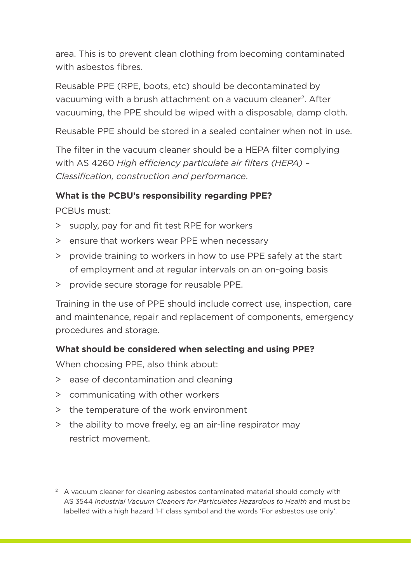area. This is to prevent clean clothing from becoming contaminated with asbestos fibres.

Reusable PPE (RPE, boots, etc) should be decontaminated by vacuuming with a brush attachment on a vacuum cleaner<sup>2</sup>. After vacuuming, the PPE should be wiped with a disposable, damp cloth.

Reusable PPE should be stored in a sealed container when not in use.

The filter in the vacuum cleaner should be a HEPA filter complying with AS 4260 *High efficiency particulate air filters (HEPA) – Classification, construction and performance*.

#### **What is the PCBU's responsibility regarding PPE?**

PCBUs must:

- > supply, pay for and fit test RPE for workers
- > ensure that workers wear PPE when necessary
- > provide training to workers in how to use PPE safely at the start of employment and at regular intervals on an on-going basis
- > provide secure storage for reusable PPE.

Training in the use of PPE should include correct use, inspection, care and maintenance, repair and replacement of components, emergency procedures and storage.

#### **What should be considered when selecting and using PPE?**

When choosing PPE, also think about:

- > ease of decontamination and cleaning
- > communicating with other workers
- > the temperature of the work environment
- > the ability to move freely, eg an air-line respirator may restrict movement.

 $2 \times 2$  A vacuum cleaner for cleaning asbestos contaminated material should comply with AS 3544 *Industrial Vacuum Cleaners for Particulates Hazardous to Health* and must be labelled with a high hazard 'H' class symbol and the words 'For asbestos use only'.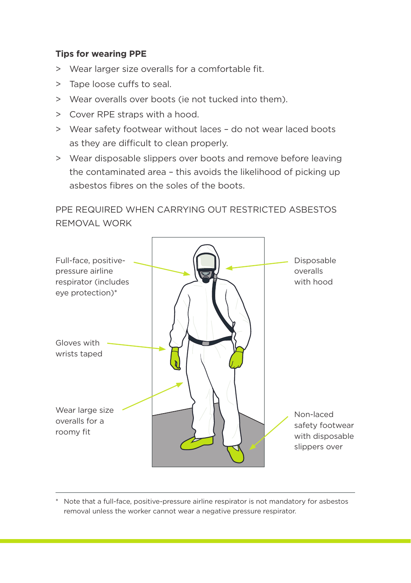#### **Tips for wearing PPE**

- > Wear larger size overalls for a comfortable fit.
- > Tape loose cuffs to seal.
- > Wear overalls over boots (ie not tucked into them).
- > Cover RPE straps with a hood.
- > Wear safety footwear without laces do not wear laced boots as they are difficult to clean properly.
- > Wear disposable slippers over boots and remove before leaving the contaminated area – this avoids the likelihood of picking up asbestos fibres on the soles of the boots.

# PPE REQUIRED WHEN CARRYING OUT RESTRICTED ASBESTOS REMOVAL WORK



\* Note that a full-face, positive-pressure airline respirator is not mandatory for asbestos removal unless the worker cannot wear a negative pressure respirator.